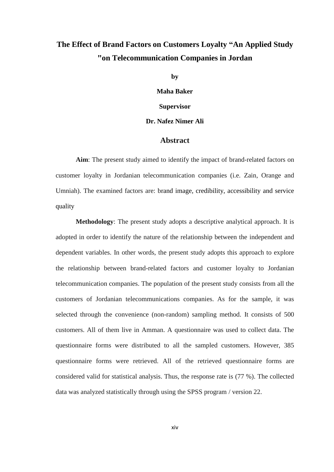## **The Effect of Brand Factors on Customers Loyalty "An Applied Study "on Telecommunication Companies in Jordan**

**by**

**Maha Baker**

**Supervisor**

## **Dr. Nafez Nimer Ali**

## **Abstract**

**Aim**: The present study aimed to identify the impact of brand-related factors on customer loyalty in Jordanian telecommunication companies (i.e. Zain, Orange and Umniah). The examined factors are: brand image, credibility, accessibility and service quality

**Methodology**: The present study adopts a descriptive analytical approach. It is adopted in order to identify the nature of the relationship between the independent and dependent variables. In other words, the present study adopts this approach to explore the relationship between brand-related factors and customer loyalty to Jordanian telecommunication companies. The population of the present study consists from all the customers of Jordanian telecommunications companies. As for the sample, it was selected through the convenience (non-random) sampling method. It consists of 500 customers. All of them live in Amman. A questionnaire was used to collect data. The questionnaire forms were distributed to all the sampled customers. However, 385 questionnaire forms were retrieved. All of the retrieved questionnaire forms are considered valid for statistical analysis. Thus, the response rate is (77 %). The collected data was analyzed statistically through using the SPSS program / version 22.